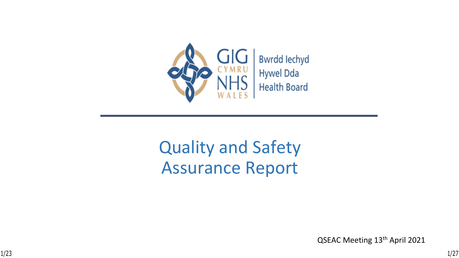

# Quality and Safety Assurance Report

QSEAC Meeting 13th April 2021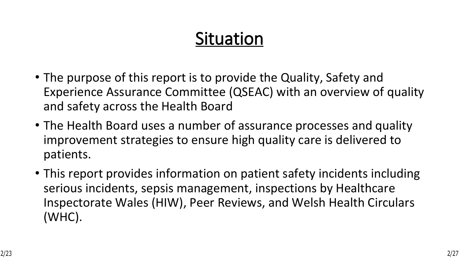# **Situation**

- The purpose of this report is to provide the Quality, Safety and Experience Assurance Committee (QSEAC) with an overview of quality and safety across the Health Board
- The Health Board uses a number of assurance processes and quality improvement strategies to ensure high quality care is delivered to patients.
- This report provides information on patient safety incidents including serious incidents, sepsis management, inspections by Healthcare Inspectorate Wales (HIW), Peer Reviews, and Welsh Health Circulars (WHC).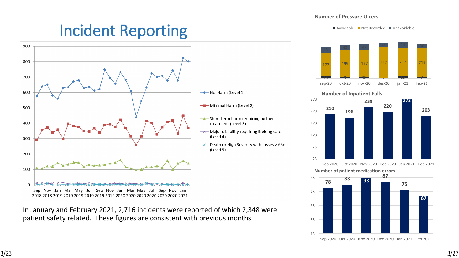#### **Number of Pressure Ulcers**

## **Incident Reporting**



In January and February 2021, 2,716 incidents were reported of which 2,348 were patient safety related. These figures are consistent with previous months

 $\blacksquare$  Avoidable  $\blacksquare$  Not Recorded  $\blacksquare$  Unavoidable



 **<sup>196</sup> Number of Inpatient Falls**

Sep 2020 Oct 2020 Nov 2020 Dec 2020 Jan 2021 Feb 2021

**Number of patient medication errors** 

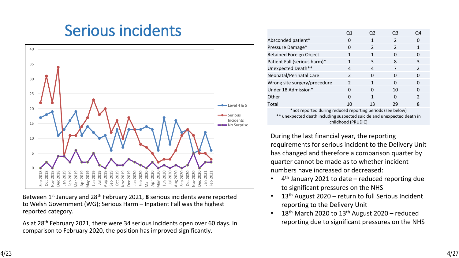## **Serious incidents**



Between 1st January and 28th February 2021, **8** serious incidents were reported to Welsh Government (WG); Serious Harm – Inpatient Fall was the highest reported category.

As at 28th February 2021, there were 34 serious incidents open over 60 days. In comparison to February 2020, the position has improved significantly.

|                                                           | Q1            | Q2            | Q3            | O4            |  |  |  |  |  |
|-----------------------------------------------------------|---------------|---------------|---------------|---------------|--|--|--|--|--|
| Absconded patient*                                        | 0             |               | $\mathcal{P}$ |               |  |  |  |  |  |
| Pressure Damage*                                          | 0             | $\mathcal{P}$ | $\mathcal{P}$ |               |  |  |  |  |  |
| <b>Retained Foreign Object</b>                            | 1             |               | O             |               |  |  |  |  |  |
| Patient Fall (serious harm)*                              | 1             | 3             | 8             | 3             |  |  |  |  |  |
| Unexpected Death**                                        | 4             | 4             | 7             | $\mathcal{P}$ |  |  |  |  |  |
| Neonatal/Perinatal Care                                   | $\mathcal{P}$ | O             | 0             | O             |  |  |  |  |  |
| Wrong site surgery/procedure                              | $\mathcal{P}$ | 1             | n             | n             |  |  |  |  |  |
| Under 18 Admission*                                       | 0             | O             | 10            |               |  |  |  |  |  |
| Other                                                     | O             | 1             | ∩             | $\mathcal{P}$ |  |  |  |  |  |
| Total                                                     | 10            | 13            | 29            | 8             |  |  |  |  |  |
| not reported during reduced reporting periods (see below) |               |               |               |               |  |  |  |  |  |

\*not reported during reduced reporting periods (see below) \*\* unexpected death including suspected suicide and unexpected death in childhood (PRUDiC)

During the last financial year, the reporting requirements for serious incident to the Delivery Unit has changed and therefore a comparison quarter by quarter cannot be made as to whether incident numbers have increased or decreased:

- 4 th January 2021 to date reduced reporting due to significant pressures on the NHS
- 13<sup>th</sup> August 2020 return to full Serious Incident reporting to the Delivery Unit
- $18<sup>th</sup>$  March 2020 to  $13<sup>th</sup>$  August 2020 reduced reporting due to significant pressures on the NHS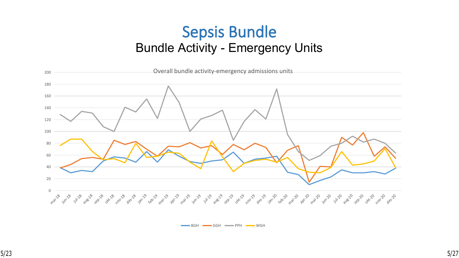### **Sepsis Bundle**  Bundle Activity - Emergency Units



BGH GGH PPH WGH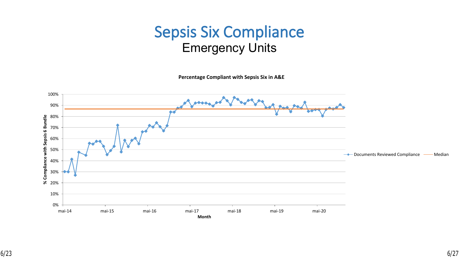## **Sepsis Six Compliance** Emergency Units

**Percentage Compliant with Sepsis Six in A&E**

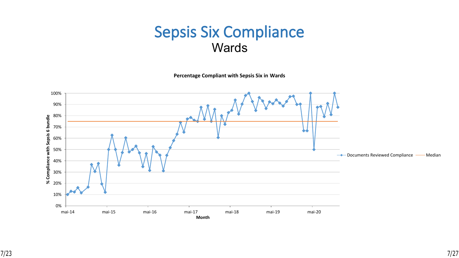### **Sepsis Six Compliance Wards**

**Percentage Compliant with Sepsis Six in Wards**

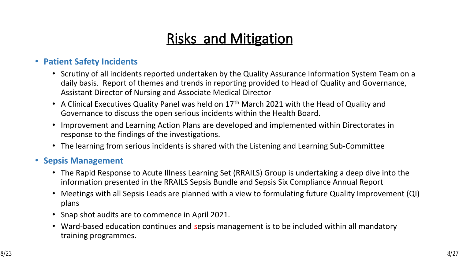## **Risks and Mitigation**

#### • **Patient Safety Incidents**

- Scrutiny of all incidents reported undertaken by the Quality Assurance Information System Team on a daily basis. Report of themes and trends in reporting provided to Head of Quality and Governance, Assistant Director of Nursing and Associate Medical Director
- A Clinical Executives Quality Panel was held on 17<sup>th</sup> March 2021 with the Head of Quality and Governance to discuss the open serious incidents within the Health Board.
- Improvement and Learning Action Plans are developed and implemented within Directorates in response to the findings of the investigations.
- The learning from serious incidents is shared with the Listening and Learning Sub-Committee

#### • **Sepsis Management**

- The Rapid Response to Acute Illness Learning Set (RRAILS) Group is undertaking a deep dive into the information presented in the RRAILS Sepsis Bundle and Sepsis Six Compliance Annual Report
- Meetings with all Sepsis Leads are planned with a view to formulating future Quality Improvement (QI) plans
- Snap shot audits are to commence in April 2021.
- Ward-based education continues and sepsis management is to be included within all mandatory training programmes.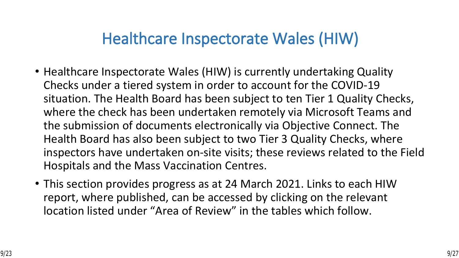## **Healthcare Inspectorate Wales (HIW)**

- Healthcare Inspectorate Wales (HIW) is currently undertaking Quality Checks under a tiered system in order to account for the COVID-19 situation. The Health Board has been subject to ten Tier 1 Quality Checks, where the check has been undertaken remotely via Microsoft Teams and the submission of documents electronically via Objective Connect. The Health Board has also been subject to two Tier 3 Quality Checks, where inspectors have undertaken on-site visits; these reviews related to the Field Hospitals and the Mass Vaccination Centres.
- This section provides progress as at 24 March 2021. Links to each HIW report, where published, can be accessed by clicking on the relevant location listed under "Area of Review" in the tables which follow.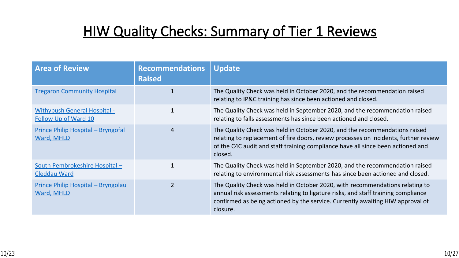$\frac{14}{12}$  \$ % ÷

 $\mathbf{I}$ 

| 1 / 96                                               | - 11           |                                                   |                               |                                        |                                |                          |                                          |
|------------------------------------------------------|----------------|---------------------------------------------------|-------------------------------|----------------------------------------|--------------------------------|--------------------------|------------------------------------------|
| $\langle W, W \rangle$<br>$\mathcal{A}$ .            |                | $+ - D$                                           | 5 %                           | $\ddot{ }$ ,                           |                                |                          | $\mathbf{H} \cdot \mathbf{H}$<br>$\star$ |
| $=$<br>% :                                           | $\overline{4}$ |                                                   | $5\%$                         | $\mathbf{H}$                           | $"$ )                          |                          | $\mathbf{H}$ . $\mathbf{H}$<br>$\star$   |
| $\blacksquare$<br>$\sim$ 'C <                        | 2              | $\Omega$<br>$\star$                               | 5 %<br>$\mathbf{U}$           | $\sim$<br>$\mathbf{r}$<br>$\mathbf{H}$ |                                | $\frac{0}{0}$            | $\mathbf{H}$ . $\mathbf{H}$              |
| $\sim 10^{-1}$<br>5<br>$\Delta \sim$<br>$\mathbf{u}$ | $\overline{?}$ | 5 <sup>5</sup>                                    | $\frac{0}{0}$<br>$\mathbf{H}$ | $5\overline{)}$                        | $\blacksquare$<br>$\mathbf{H}$ |                          | $\mathbf{H} \cdot \mathbf{H}$            |
| $\frac{1}{2}$<br>$\sim$ 'C <                         |                | 5 <sub>1</sub><br>$5\overline{)}$<br>$\mathbf{H}$ | $\frac{0}{0}$<br>$\mathbf{u}$ | $\dddot{,}$                            |                                | " " 9/0"<br>5<br>$\star$ | $\frac{0}{0}$                            |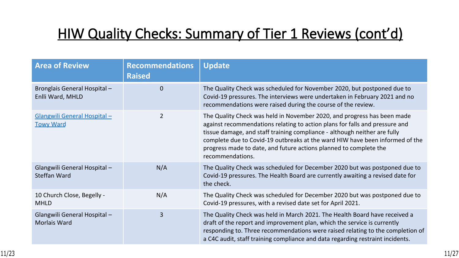## $\frac{11 \cdot 11}{2 \cdot 11}$  \$ % &

| $\cdot$ /                                              | $\frac{6}{10}$                    | $\sim 10^{-1}$<br>$\mathbf{u}$ . |                                                                                                                                         |                                                                                                                                |                                                               |
|--------------------------------------------------------|-----------------------------------|----------------------------------|-----------------------------------------------------------------------------------------------------------------------------------------|--------------------------------------------------------------------------------------------------------------------------------|---------------------------------------------------------------|
| $=$<br>$\overline{1}$                                  | $\mathbf{L}$<br>$^{\prime}$ C $<$ | $\overline{?}$                   | 5 %<br>$\overline{7}$<br>$\star$<br>$\overline{4}$<br>$\mathbf{H}^{\top}\mathbf{H}$<br>$\frac{0}{0}$                                    | 9<br>$\hspace{0.1cm} \texttt{\emph{y}}$ )<br>$%$ %                                                                             | 5<br>$\left( \begin{array}{c} 1 \end{array} \right)$<br>$%$ * |
| $\frac{9}{6}$<br>$=$<br>$\frac{9}{6}$                  | $\mathcal{P}$                     |                                  | 5 %<br>$\mathbf{H}^{\top}\mathbf{H}$<br>$\mathbf{H}$<br>$\mathbf{H}$<br>4 7<br>$\mathbf{H}$<br>$\mathbf{H} \cdot \mathbf{H}$<br>$\star$ | 9<br>$"$ )<br>$\mathbf{H}$<br>$\%$<br>$5\phantom{.0}$                                                                          | $\overline{4}$<br>$'$ + ,<br>$\mathbf{u}$                     |
| $\%$<br>$\equiv$<br>$=$<br>$\overline{\phantom{a}}$    | $\ddot{?}$                        | 9 B                              | 5 <sup>5</sup><br>$\%$<br>$\star$<br>$4 \overline{7}$<br>$\mathbf{H}$ .<br>$5*$                                                         | $\leftarrow$ ")<br>$\sum$                                                                                                      | $\%$<br>$\frac{0}{0}$                                         |
| $^{\prime}$ C $<$                                      |                                   | 9 B<br>$\overline{4}$            | 5 %<br>$\frac{0}{0}$<br>4 7                                                                                                             | $"$ )<br>$\,<\,$<br>$\left( \right)$                                                                                           | $\%$<br>$\star$                                               |
| $\%$<br>$\equiv$<br>$=$<br>$\mathcal{L}^{\mathcal{L}}$ | $\mathbf{P}$                      |                                  | 5 <sup>1</sup><br>$\%$<br>$\mathbf{H}$ .<br>$\star$<br>$\overline{2}$                                                                   | $\star$<br>$\mathbf{H}$<br>$\mathbf{H}$<br>$\frac{0}{0}$<br>$\mathbf{H} \parallel \mathbf{H}$<br>$\frac{0}{0}$<br>$\mathbf{H}$ |                                                               |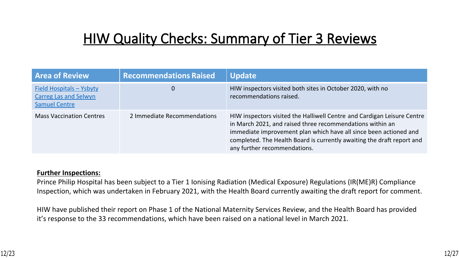#### $\pmb{\mathsf{N}}$  $\frac{0}{0}$  $#$

 $\mathbf{I}$ 



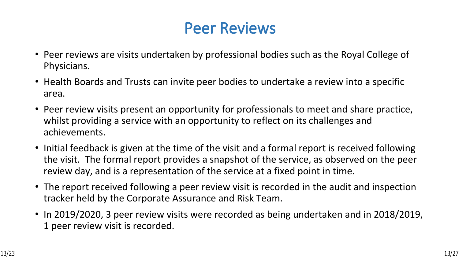## **Peer Reviews**

- Peer reviews are visits undertaken by professional bodies such as the Royal College of Physicians.
- Health Boards and Trusts can invite peer bodies to undertake a review into a specific area.
- Peer review visits present an opportunity for professionals to meet and share practice, whilst providing a service with an opportunity to reflect on its challenges and achievements.
- Initial feedback is given at the time of the visit and a formal report is received following the visit. The formal report provides a snapshot of the service, as observed on the peer review day, and is a representation of the service at a fixed point in time.
- The report received following a peer review visit is recorded in the audit and inspection tracker held by the Corporate Assurance and Risk Team.
- In 2019/2020, 3 peer review visits were recorded as being undertaken and in 2018/2019, 1 peer review visit is recorded.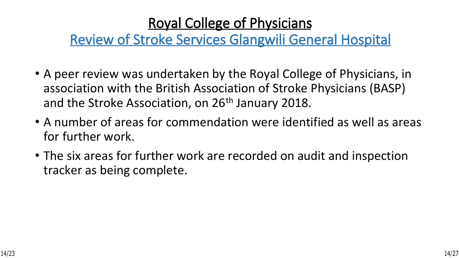## **Royal College of Physicians**

## **Review of Stroke Services Glangwili General Hospital**

- A peer review was undertaken by the Royal College of Physicians, in association with the British Association of Stroke Physicians (BASP) and the Stroke Association, on 26<sup>th</sup> January 2018.
- A number of areas for commendation were identified as well as areas for further work.
- The six areas for further work are recorded on audit and inspection tracker as being complete.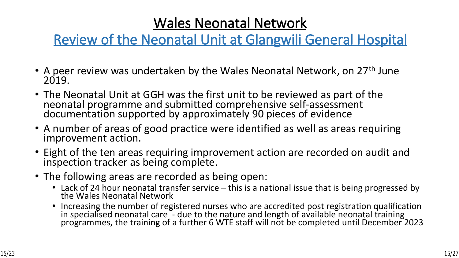## **Wales Neonatal Network**

### **Review of the Neonatal Unit at Glangwili General Hospital**

- A peer review was undertaken by the Wales Neonatal Network, on 27<sup>th</sup> June 2019.
- The Neonatal Unit at GGH was the first unit to be reviewed as part of the neonatal programme and submitted comprehensive self-assessment documentation supported by approximately 90 pieces of evidence
- A number of areas of good practice were identified as well as areas requiring improvement action.
- Eight of the ten areas requiring improvement action are recorded on audit and inspection tracker as being complete.
- The following areas are recorded as being open:
	- Lack of 24 hour neonatal transfer service this is a national issue that is being progressed by the Wales Neonatal Network
	- Increasing the number of registered nurses who are accredited post registration qualification in specialised neonatal care - due to the nature and length of available neonatal training programmes, the training of a further 6 WTE staff will not be completed until December 2023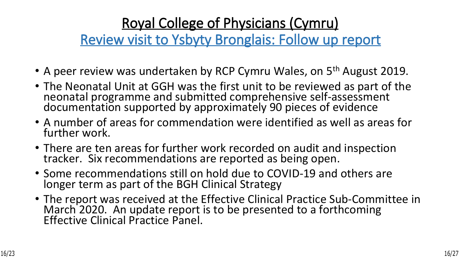## **Royal College of Physicians (Cymru)**

**Review visit to Ysbyty Bronglais: Follow up report**

- A peer review was undertaken by RCP Cymru Wales, on 5<sup>th</sup> August 2019.
- The Neonatal Unit at GGH was the first unit to be reviewed as part of the neonatal programme and submitted comprehensive self-assessment documentation supported by approximately 90 pieces of evidence
- A number of areas for commendation were identified as well as areas for further work.
- There are ten areas for further work recorded on audit and inspection tracker. Six recommendations are reported as being open.
- Some recommendations still on hold due to COVID-19 and others are longer term as part of the BGH Clinical Strategy
- The report was received at the Effective Clinical Practice Sub-Committee in March 2020. An update report is to be presented to a forthcoming Effective Clinical Practice Panel.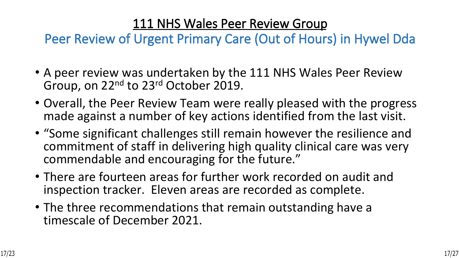### **111 NHS Wales Peer Review Group**

**Peer Review of Urgent Primary Care (Out of Hours) in Hywel Dda**

- A peer review was undertaken by the 111 NHS Wales Peer Review Group, on 22nd to 23rd October 2019.
- Overall, the Peer Review Team were really pleased with the progress made against a number of key actions identified from the last visit.
- "Some significant challenges still remain however the resilience and commitment of staff in delivering high quality clinical care was very commendable and encouraging for the future."
- There are fourteen areas for further work recorded on audit and inspection tracker. Eleven areas are recorded as complete.
- The three recommendations that remain outstanding have a timescale of December 2021.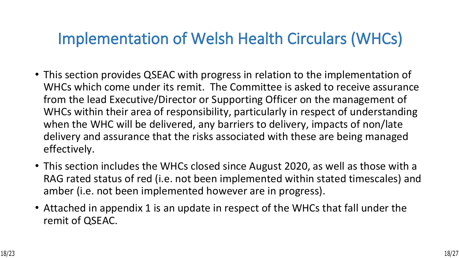## **Implementation of Welsh Health Circulars (WHCs)**

- This section provides QSEAC with progress in relation to the implementation of WHCs which come under its remit. The Committee is asked to receive assurance from the lead Executive/Director or Supporting Officer on the management of WHCs within their area of responsibility, particularly in respect of understanding when the WHC will be delivered, any barriers to delivery, impacts of non/late delivery and assurance that the risks associated with these are being managed effectively.
- This section includes the WHCs closed since August 2020, as well as those with a RAG rated status of red (i.e. not been implemented within stated timescales) and amber (i.e. not been implemented however are in progress).
- Attached in appendix 1 is an update in respect of the WHCs that fall under the remit of QSEAC.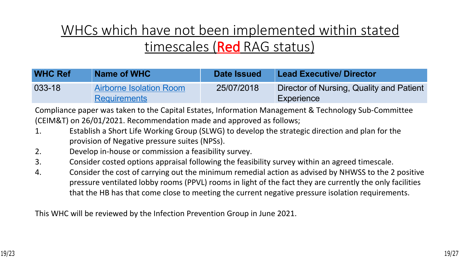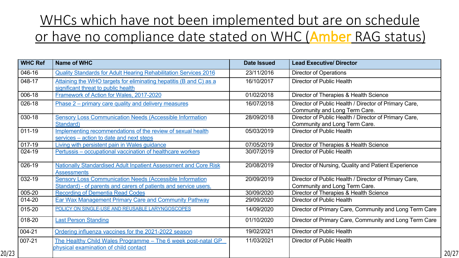| $\sigma_{\rm{max}}=1$ | $\mathbf{g}$<br>$\Omega$                                                  | $\mathbf{H}$ #<br>$#!$ .                                                                                                                                                                                                                                                                                               | & 2,<br>$\%$                                                             |
|-----------------------|---------------------------------------------------------------------------|------------------------------------------------------------------------------------------------------------------------------------------------------------------------------------------------------------------------------------------------------------------------------------------------------------------------|--------------------------------------------------------------------------|
| $-$ \$                | 0 <sub>2</sub><br>3<br>&<br>&                                             | 4.5#<br>#!<br>- S                                                                                                                                                                                                                                                                                                      | & $*$<br>$\overline{0}$<br>$\%$<br>$\mathbf{1}$                          |
| $\sim 100$            | 78<br>$\boldsymbol{\alpha}$<br>\$ 11<br>$\mathbf{8}$<br>$6\phantom{1}6$   | $#$ !#!                                                                                                                                                                                                                                                                                                                | $\%$<br>& 91<br>1/<br>$\therefore$ 0                                     |
| Τ.                    | $*1$<br>$\sim 100$                                                        | $.#$ \$#!                                                                                                                                                                                                                                                                                                              | %<br>& $*$<br># $%$<br>& $*$<br>$\overline{0}$                           |
|                       |                                                                           |                                                                                                                                                                                                                                                                                                                        | 9<br>4<br>4<br>$=$<br>$\prec$                                            |
|                       | $\mathbf{H}$<br>3<br>$\mathbf{g}$<br>$\overline{\mathbf{4}}$<br>$\leq$    | $!$ # >#!                                                                                                                                                                                                                                                                                                              | $\overline{\%}$<br>& $\overline{\ }$<br># $%$<br>& $*$<br>$\overline{0}$ |
|                       | $5\phantom{.0}$                                                           |                                                                                                                                                                                                                                                                                                                        | 9<br>4<br>4<br>$=$<br>$\lt$                                              |
| $\geq$                | $78 +$<br>8 <sub>1</sub>                                                  | $1$ $\frac{1}{2}$ $\frac{1}{2}$ $\frac{1}{2}$ $\frac{1}{2}$ $\frac{1}{2}$ $\frac{1}{2}$ $\frac{1}{2}$ $\frac{1}{2}$ $\frac{1}{2}$ $\frac{1}{2}$ $\frac{1}{2}$ $\frac{1}{2}$ $\frac{1}{2}$ $\frac{1}{2}$ $\frac{1}{2}$ $\frac{1}{2}$ $\frac{1}{2}$ $\frac{1}{2}$ $\frac{1}{2}$ $\frac{1}{2}$ $\frac{1}{2}$ $\frac{1}{2$ | $8*$<br>$\frac{9}{6}$<br>$\overline{0}$                                  |
| \$ >                  | 7 <sub>1</sub><br>$\prec$                                                 | $$$ # $"$ # !<br>$\geq$                                                                                                                                                                                                                                                                                                | & 91<br>$\%$<br>$\therefore$ 0<br>1/                                     |
| $! - \rightarrow$     | 8 <sup>1</sup><br>$\overline{7}$<br>$\star$                               | # $$$ #!<br>$\geq$                                                                                                                                                                                                                                                                                                     | $8 *$<br>%<br>$\overline{0}$                                             |
| $\frac{1}{2}$ >       | $\overline{4}$                                                            | $!8\#$ #! >                                                                                                                                                                                                                                                                                                            | $\star$<br>%<br>8'<br>$+$ ,                                              |
| $\frac{1}{2}$ >       | 3 <sup>1</sup><br>$\boldsymbol{\alpha}$<br>$\overline{A}$<br>$\leq$       | $!$ # > # ! >                                                                                                                                                                                                                                                                                                          | & *<br>& $*$<br>%<br># $%$<br>$\overline{0}$                             |
|                       | 5<br>$\boldsymbol{\alpha}$<br>&                                           | $=$                                                                                                                                                                                                                                                                                                                    | 9<br>4<br>4<br>$\prec$<br>$=$                                            |
| $\mathbf{H}$          | & %<br>$\Delta$                                                           | $#$ > #!!                                                                                                                                                                                                                                                                                                              | %<br>& 91<br>$\therefore$ 0<br>1 /                                       |
| $-1$                  | $\star$<br>$+ 2$<br>$*$ 17<br>$\overline{\mathbf{4}}$<br>$\blacktriangle$ | $! > # > #!$ !                                                                                                                                                                                                                                                                                                         | & $*$<br>%<br>$\Omega$                                                   |
| $\mathbf{u}$          | $\frac{1}{2}$<br>$1 < 8$ 2/42*<br>$*2 < 4@2' / 'A < 1$                    | $-#$ >#!!                                                                                                                                                                                                                                                                                                              | & $*$<br>$\%$<br>$\overline{4}$<br>$\overline{4}$<br> 9<br>$\leq$        |
| $\mathbf{I}$          | $\star$<br>$\leq$                                                         | $#$ #!!                                                                                                                                                                                                                                                                                                                | & $*$<br>$\%$<br>$\overline{4}$<br>$\overline{4}$<br> 9<br>$\leq$        |
| $-1$                  | $\alpha$<br>B<br>$\overline{2}$<br>$\mathbf{g}$<br>$\pm 1$ $\pm 1$        | $>$ # !#!!                                                                                                                                                                                                                                                                                                             | $8*$<br>%<br>$\overline{0}$<br>$\mathbf{1}$                              |
| $$ \cdot$ !           | $\star$<br>91<br>: 91 . 7 8.<br>41                                        | #A#!                                                                                                                                                                                                                                                                                                                   | & $*$<br>$\overline{0}$<br>%                                             |
|                       | $8 - 1$<br>. 1<br>$+$                                                     |                                                                                                                                                                                                                                                                                                                        |                                                                          |

 $\mathcal{L}_{\mathcal{A}}$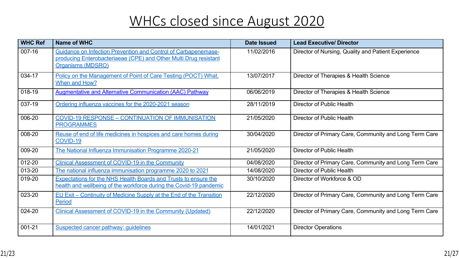| $\updownarrow$              | $\star$<br>$\alpha$<br>84<br>$\mathsf{A}$<br>$\overline{4}$<br>$\overline{?}$<br>$34*5$<br>2 <sub>1</sub><br>$\%$<br>$3? \% / 25$<br>2 <sup>1</sup> | $#$ !#!                        | $\%$<br>8'<br>$\star$<br>$+$ ,                              |
|-----------------------------|-----------------------------------------------------------------------------------------------------------------------------------------------------|--------------------------------|-------------------------------------------------------------|
| $-$ \$                      | $8^{*}$<br>& 4<br>$\star$<br>$1 \quad 2$<br>9<br>0 7 C                                                                                              | $3 * 2495$ # $\frac{4}{10}$ \$ | %<br>& 91<br>$\therefore$ 0<br>1 /<br>$\mathbf{r}$          |
| $\geq$                      | $3\quad 45 \quad * \quad 17$<br>$\overline{4}$                                                                                                      | . # . #! >                     | %<br>& 91<br>$\therefore$ 0<br>1/<br>$\sim$ $\sim$          |
| \$ >                        | $\mathbf{g}$<br>B<br>$\mathbf{g}$<br>-14                                                                                                            | $!$ # #! >                     | & $*$<br>$\%$<br>$\overline{0}$                             |
| $\mathcal{L}^{\mathcal{A}}$ | $1*2'1$ : 42'9 ' 9 2' 26 ?? ' / 9 2'<br>$42D%$ ><br>$*$ 2A ?? /                                                                                     | $!$ # $"$ # !!                 | & $*$<br>$\%$<br>$\overline{0}$<br>$\overline{1}$           |
| $\mathbb{R}$                | $\alpha$<br>& &<br>$1 - 1$<br>$42D%$ >                                                                                                              | $# - # !$                      | & $*$<br>%<br>$\overline{4}$<br>(4)<br>$\prec$              |
| $>$ !                       | 91<br>$\mathbf{\alpha}$<br>$\star$<br>$\mathsf B$<br>$\mathbf{1}$ and $\mathbf{1}$ and $\mathbf{1}$                                                 | $!$ # $"$ # !!                 | & $*$<br>$\%$<br>$\Omega$<br>$\overline{1}$                 |
| $\pm$                       | & 42D % ><br>$\overline{4}$<br>$\overline{4}$                                                                                                       | $-#$ #!!                       | & $*$<br>$\%$<br>$\overline{4}$<br>$^{\prime}$ 4<br>$\prec$ |
| $\mathbf{I}$                | B<br>91<br>$\mathbf{g}$                                                                                                                             | $-#$ #!!                       | & *<br>$\%$<br>$\overline{0}$                               |
| $>$ !                       | $\mathbf{a}$<br>$'$ 0 / 0<br>9<br>$+$ ,<br>8&<br>&                                                                                                  | $#$ #!!<br>$>$ ,               | 8 <sub>1</sub><br>$\therefore$ 2%<br>%<br>8 &               |
| $\mathbf{1}$                | & ?<br>$\therefore$ 4<br>$\mathbf{g}$<br>$+$                                                                                                        | 9!# 1 #!                       | & $*$<br>$\%$<br>$\overline{4}$<br>(4)<br>$\leq$            |
| $1 - 1$                     | $& 42D \% >$<br>$1 \quad 4 \quad$<br>$31$ .<br>$\overline{4}$                                                                                       | ! 5 #  !  # !  !               | & $*$<br>%<br>4(4)<br>$\prec$                               |
| $\mathbb{R}$                | 17 E                                                                                                                                                | $-#$ #!!                       | $\%$<br>2,                                                  |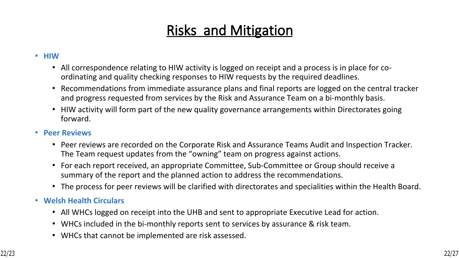## **Risks and Mitigation**

#### • **HIW**

- All correspondence relating to HIW activity is logged on receipt and a process is in place for coordinating and quality checking responses to HIW requests by the required deadlines.
- Recommendations from immediate assurance plans and final reports are logged on the central tracker and progress requested from services by the Risk and Assurance Team on a bi-monthly basis.
- HIW activity will form part of the new quality governance arrangements within Directorates going forward.

#### • **Peer Reviews**

- Peer reviews are recorded on the Corporate Risk and Assurance Teams Audit and Inspection Tracker. The Team request updates from the "owning" team on progress against actions.
- For each report received, an appropriate Committee, Sub-Committee or Group should receive a summary of the report and the planned action to address the recommendations.
- The process for peer reviews will be clarified with directorates and specialities within the Health Board.

#### • **Welsh Health Circulars**

- All WHCs logged on receipt into the UHB and sent to appropriate Executive Lead for action.
- WHCs included in the bi-monthly reports sent to services by assurance & risk team.
- WHCs that cannot be implemented are risk assessed.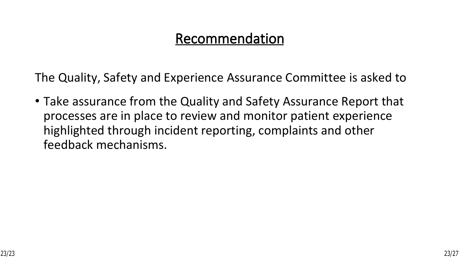### **Recommendation**

The Quality, Safety and Experience Assurance Committee is asked to

• Take assurance from the Quality and Safety Assurance Report that processes are in place to review and monitor patient experience highlighted through incident reporting, complaints and other feedback mechanisms.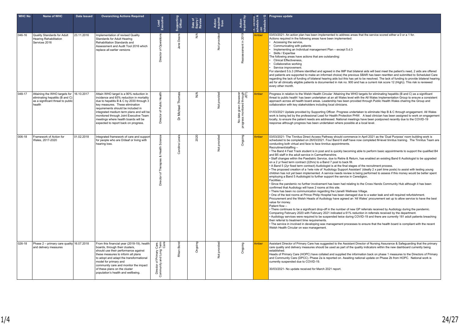| <b>WHC No</b> | Name of WHC                                                                                                                | <b>Date Issued</b> | <b>Overarching Actions Required</b>                                                                                                                                                                                                                                                                                                                                            | Lead<br>Executive                                                    | Supporting<br>Officer | Date of<br>Expiry /<br>Review | Action<br>required<br>from | Action<br>required by                                         | 7 K - Dening<br>Schedule / A<br>ಿ | <b>Progress update</b>                                                                                                                                                                                                                                                                                                                                                                                                                                                                                                                                                                                                                                                                                                                                                                                                                                                                                                                                                                                                                                                                                                                                                                                                                                                                                                                                                                                                                                                                                                                                                                                                                                                                                                                                                                                                                                                                                                                                                                                                                                                                                                                                                                                                                                                                                                                                                                                                  |
|---------------|----------------------------------------------------------------------------------------------------------------------------|--------------------|--------------------------------------------------------------------------------------------------------------------------------------------------------------------------------------------------------------------------------------------------------------------------------------------------------------------------------------------------------------------------------|----------------------------------------------------------------------|-----------------------|-------------------------------|----------------------------|---------------------------------------------------------------|-----------------------------------|-------------------------------------------------------------------------------------------------------------------------------------------------------------------------------------------------------------------------------------------------------------------------------------------------------------------------------------------------------------------------------------------------------------------------------------------------------------------------------------------------------------------------------------------------------------------------------------------------------------------------------------------------------------------------------------------------------------------------------------------------------------------------------------------------------------------------------------------------------------------------------------------------------------------------------------------------------------------------------------------------------------------------------------------------------------------------------------------------------------------------------------------------------------------------------------------------------------------------------------------------------------------------------------------------------------------------------------------------------------------------------------------------------------------------------------------------------------------------------------------------------------------------------------------------------------------------------------------------------------------------------------------------------------------------------------------------------------------------------------------------------------------------------------------------------------------------------------------------------------------------------------------------------------------------------------------------------------------------------------------------------------------------------------------------------------------------------------------------------------------------------------------------------------------------------------------------------------------------------------------------------------------------------------------------------------------------------------------------------------------------------------------------------------------------|
| 046-16        | Quality Standards for Adult<br>Hearing Rehabilitation<br>Services 2016                                                     | 23.11.2016         | Implementation of revised Quality<br>Standards for Adult Hearing<br>Rehabilitation Standards and<br>Assessment and Audit Tool 2016 which<br>replace all earlier versions                                                                                                                                                                                                       | of Operations<br>Director                                            | Deans<br>Jane         | ≸                             | provided<br>$\frac{5}{2}$  | 2019<br>-<br>sment<br>Rea                                     | Amber                             | 03/03/2021- An action plan has been implemented to address areas that the service scored either a 0 or a 1 for.<br>Actions required in the following areas have been implemented:<br>Accessing the service,<br>Communicating with patients<br>Implementing an Individual management Plan - except 5.d.3<br>Skills / Expertise<br>The following areas have actions that are outstanding:<br>Clinical Effectiveness,<br>Collaborative working<br>Service improvement.<br>For standard 5.b.3 (Where identified and agreed in the IMP that bilateral aids will best meet the patient's need, 2 aids are offered<br>and patients are supported to make an informed choice) the previous SBAR has been rewritten and submitted to Scheduled Care<br>regarding the lack of funding of bilateral hearing aids but this has yet to be resolved. The lack of funding to provide bilateral hearing<br>aid for all clinically eligible patients is documented in risk no. 900 and has a current risk score 12 (High)). This risk is reviewed<br>every other month.                                                                                                                                                                                                                                                                                                                                                                                                                                                                                                                                                                                                                                                                                                                                                                                                                                                                                                                                                                                                                                                                                                                                                                                                                                                                                                                                                                  |
| 048-17        | Attaining the WHO targets for 16.10.2017<br>eliminating hepatitis (B and C)<br>as a significant threat to public<br>health |                    | Attain WHO target is a 90% reduction in<br>incidence and 65% reduction in mortality<br>due to hepatitis B & C by 2030 through 3<br>key measures. These elimination<br>requirements should be included in<br>integrated medium term plans and will be<br>monitored through Joint Executive Team<br>meetings where health boards will be<br>expected to report back on progress. | Health<br>Public<br>$\overline{\sigma}$<br>rector<br>ō               | Michael Thomas<br>ð   | ≸                             | Not provided               | No date given (however)<br>progress monitored through<br>JET) | Amber                             | Progress in relation to the Welsh Health Circular 'Attaining the WHO targets for eliminating hepatitis (B and C) as a significant<br>threat to public health' has been undertaken at an all Wales level with the All Wales Implementation Group to ensure a consistent<br>approach across all health board areas. Leadership has been provided through Public Health Wales chairing the Group and<br>collaboration with key stakeholders including local clinicians.<br>01/03/2021 Update provided by Supporting Officer. Progress undertaken to eliminate Hep B & C through engagement. All Wales<br>work is being led by the professional Lead for Health Protection PHW. A lead clinician has been assigned to work on engagement<br>locally, to ensure the patient needs are addressed. National meetings have been postponed recently due to the COVID-19<br>response although progress has been undertaken where possible at a local level.                                                                                                                                                                                                                                                                                                                                                                                                                                                                                                                                                                                                                                                                                                                                                                                                                                                                                                                                                                                                                                                                                                                                                                                                                                                                                                                                                                                                                                                                       |
| 006-18        | Framework of Action for<br>Wales, 2017-2020                                                                                | 01.02.2018         | Integrated framework of care and support<br>for people who are D/deaf or living with<br>hearing loss.                                                                                                                                                                                                                                                                          | Science<br>Health <sup>3</sup><br>ಜ<br>Therapies<br>৳<br>Director    | Lew<br>Caroline       | 2020                          | Not provided               | Ongoing                                                       | Amber                             | 03/03/2021- The Tinnitus Direct Access Pathway should commence in April 2021 as the 'Dual Purpose' room building work is<br>scheduled to be completed on 26/03/2021. Four Band 6 staff have now completed M-level tinnitus training. The Tinnitus Team are<br>conducting both virtual and face to face tinnitus appointments.<br>Recruitment/staffing -<br>• The Band 4 Fast Track student is in post and is quickly becoming able to perform basic appointments to support the qualified B4<br>and B5 staff in the adult service in Carmarthenshire.<br>Staff changes within the Paediatric Service, due to Retire & Return, has enabled an existing Band 6 Audiologist to be upgraded<br>on a 2 yr fixed term contract (22hrs) to a Band 7 post to back fill.<br>A Band 5 (2yr fixed term contract) Audiologist is at the final stages of the recruitment process.<br>• The proposed creation of a 1wte role of 'Audiology Support Assistant' (ideally 2 x part time posts) to assist with testing young<br>children has not yet been implemented. A service needs review is being performed to assess if this money would be better spent<br>employing a Band 5 Audiologist to further support the service in Ceredigion.<br>Facilities-<br>Since the pandemic no further involvement has been had relating to the Cross Hands Community Hub although it has been<br>confirmed that Audiology will have 2 rooms at this site.<br>• There has been no communication regarding the Llanelli Wellness Village.<br>One of the test rooms at Prince Philip Hospital has been damaged due to a water leak and will required refurbishment.<br>Procurement and the Welsh Heads of Audiology have agreed an 'All Wales' procurement set up to allow service to have the best<br>value for monev.<br>Patient flow -<br>There continues to be a significant drop-off in the number of new GP referrals received by Audiology during the pandemic.<br>Comparing February 2020 with February 2021 indicated a 61% reduction in referrals received by the department.<br>Audiology services were required to be suspended twice during COVID-19 and there are currently 181 adult patients breaching<br>their referral to treatment time requirements.<br>The service in involved in developing wax management processes to ensure that the health board is compliant with the recent<br>Welsh Health Circular on wax management. |
| 026-18        | Phase 2 - primary care quality 16.07.2018<br>and delivery measures                                                         |                    | From this financial year (2018-19), health<br>boards, through their clusters.<br>should use their performance against<br>these measures to inform all plans<br>to adopt and adapt the transformational<br>model for primary and<br>community care and monitor the impact<br>of these plans on the cluster<br>population's health and wellbeing.                                | Care,<br>Term<br>Care<br>Director of Primary (<br>Community and Long | Rhian Bonc            | Ongoing                       | <b>Vot</b> provided        | Ongoing                                                       | Amber                             | Assistant Director of Primary Care has suggested to the Assistant Director of Nursing Assurance & Safeguarding that the primary<br>care quality and delivery measures should be used as part of the quality indicators within the new dashboard currently being<br>established.<br>Heads of Primary Care (HOPC) have collated and supplied the information back on phase 1 measures to the Directors of Primary<br>and Community Care (DPCC). Phase 2a is reported on. Awaiting national update on Phase 2b from HOPC. National work is<br>currently suspended due to COVID-19.<br>30/03/2021- No update received for March 2021 report.                                                                                                                                                                                                                                                                                                                                                                                                                                                                                                                                                                                                                                                                                                                                                                                                                                                                                                                                                                                                                                                                                                                                                                                                                                                                                                                                                                                                                                                                                                                                                                                                                                                                                                                                                                                |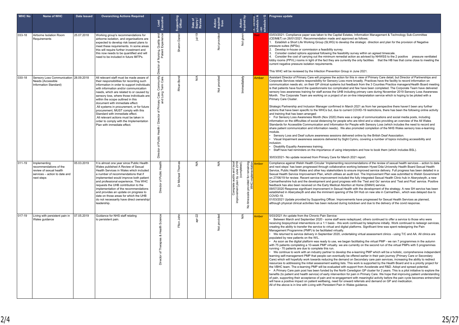| <b>WHC No</b> | Name of WHC                                                                                                      | Date Issued | <b>Overarching Actions Required</b>                                                                                                                                                                                                                                                                                                                                                                                                                                                                                                                                                       | Lead<br>Executive                                                                                                                                      | Supporting<br>Officer | Date of<br>Expiry /<br>Review | Action<br>required<br>from   | Action<br>required by                                                                                                                        | 7 K - Dening<br>Schedule / A<br>- On<br>Schedule / G | Progress update                                                                                                                                                                                                                                                                                                                                                                                                                                                                                                                                                                                                                                                                                                                                                                                                                                                                                                                                                                                                                                                                                                                                                                                                                                                                                                                                                                                                                                                                                                                                                                                                                                                                                                                                                                                                                                                                                                                                                                                                                                                                                                                                                                                                                                                                                                 |
|---------------|------------------------------------------------------------------------------------------------------------------|-------------|-------------------------------------------------------------------------------------------------------------------------------------------------------------------------------------------------------------------------------------------------------------------------------------------------------------------------------------------------------------------------------------------------------------------------------------------------------------------------------------------------------------------------------------------------------------------------------------------|--------------------------------------------------------------------------------------------------------------------------------------------------------|-----------------------|-------------------------------|------------------------------|----------------------------------------------------------------------------------------------------------------------------------------------|------------------------------------------------------|-----------------------------------------------------------------------------------------------------------------------------------------------------------------------------------------------------------------------------------------------------------------------------------------------------------------------------------------------------------------------------------------------------------------------------------------------------------------------------------------------------------------------------------------------------------------------------------------------------------------------------------------------------------------------------------------------------------------------------------------------------------------------------------------------------------------------------------------------------------------------------------------------------------------------------------------------------------------------------------------------------------------------------------------------------------------------------------------------------------------------------------------------------------------------------------------------------------------------------------------------------------------------------------------------------------------------------------------------------------------------------------------------------------------------------------------------------------------------------------------------------------------------------------------------------------------------------------------------------------------------------------------------------------------------------------------------------------------------------------------------------------------------------------------------------------------------------------------------------------------------------------------------------------------------------------------------------------------------------------------------------------------------------------------------------------------------------------------------------------------------------------------------------------------------------------------------------------------------------------------------------------------------------------------------------------------|
| 033-18        | Airborne Isolation Room<br>Requirements                                                                          | 25.07.2018  | Working group's recommendations for<br>airborne isolation, and organisations are<br>expected to develop risk based plans to<br>meet these requirements. In some areas<br>this will require further investment and<br>this now needs to be quantified and will<br>need to be included in future IMTPs.                                                                                                                                                                                                                                                                                     | and<br>Fe<br>Quality<br>Experier<br>Nursing,<br>৳<br>sctor<br>ă                                                                                        | Daniel<br>Sharon      | $jul-19$                      | provided<br>$\frac{5}{2}$    | given<br>$\frac{5}{2}$                                                                                                                       |                                                      | 03/03/2021- Compliance paper was taken to the Capital Estates, Information Management & Technology Sub-Committee<br>(CEIM&T) on 26/01/2021. Recommendation made and approved as follows:<br>1. Establish a Short Life Working Group (SLWG) to develop the strategic direction and plan for the provision of Negative<br>pressure suites (NPSs).<br>2. Develop in-house or commission a feasibility survey.<br>Consider costed options appraisal following the feasibility survey within an agreed timescale.<br>4. Consider the cost of carrying out the minimum remedial action as advised by NHWSS to the 2 positive pressure ventilated<br>lobby rooms (PPVL) rooms in light of the fact they are currently the only facilities that the HB has that come close to meeting the<br>current negative pressure isolation requirements.<br>This WHC will be reviewed by the Infection Prevention Group in June 2021.                                                                                                                                                                                                                                                                                                                                                                                                                                                                                                                                                                                                                                                                                                                                                                                                                                                                                                                                                                                                                                                                                                                                                                                                                                                                                                                                                                                             |
| 030-18        | Sensory Loss Communication 28.09.2018<br>Needs (Accessible<br>Information Standard)                              |             | All relevant staff must be made aware of<br>their responsibilities for recording such<br>information in order to support individuals<br>with information and/or communication<br>needs, which are related to or caused by<br>sensory loss, where those individuals are<br>within the scope outlined in this<br>document with immediate effect.<br>.All systems in procurement, or for future<br>procurement, MUST comply with this<br>Standard with immediate effect.<br>.All relevant actions must be taken in<br>order to comply with the Implementation<br>Plan with immediate effect. | unity<br>Care.<br>Comm<br>Term<br>Care,<br>Long<br>$\sum_{n=1}^{\infty}$<br>՟<br>৳<br>Director<br>Health<br>Public<br>$\rm \breve{\sigma}$<br>Director | Bond<br>Rhian         | ⋚                             | provided<br>Not <sub>1</sub> | Immediately                                                                                                                                  | Amber                                                | Assistant Director of Primary Care will progress the action for this in view of Primary Care detail, but Director of Partnerships and<br>Corporate Services retains responsibility for Sensory Loss more broadly. Practices have the facility to record information on<br>communication needs etc. on their GP clinical systems but feedback from the 3 Counties Practice managers/Health Board meeting<br>is that patients have found the questionnaire too complicated and few have been completed. The Corporate Team have delivered<br>sensory loss awareness training for staff across the UHB including primary care during November 2019 Sensory Loss Awareness<br>Month. The Corporate Team are working on a project of an on-line interpretation service which is hoping to be piloted with a<br>Primary Care Cluster.<br>Strategic Partnership and Inclusion Manager confirmed in March 2021 as from her perspective there haven't been any further<br>actions that have been specific to the WHCs but, due to current COVID-19 restrictions, there has been the following online activity<br>and training that has been arranged:<br>For Sensory Loss Awareness Month (Nov 2020) there was a range of communications and social media posts, including<br>information on the difficulties of social distancing for people who are blind and a video providing an overview of the All Wales<br>Standards for Accessible Communication and Information for People with Sensory Loss (which includes the need to record and<br>share patient communication and information needs). We also promoted completion of the NHS Wales sensory loss e-learning<br>module.<br>Sensory Loss and Deaf culture awareness sessions delivered online by the British Deaf Association.<br>Visual Impairment awareness sessions delivered by Sight Cymru, covering a number of topics including accessibility and<br>inclusion.<br>Disability Equality Awareness training.<br>Staff have had reminders on the importance of using interpreters and how to book them (which includes BSL).<br>30/03/2021- No update received from Primary Care for March 2021 report.                                                                                                                                                   |
| 011-19        | Implementing<br>recommendations of the<br>review of sexual health<br>services - action to date and<br>next steps | 05.03.2019  | It is almost one year since Public Health<br>Wales published A Review of Sexual<br>Health Services in Wales which included<br>a number of recommendations that if<br>implemented would improve both patient<br>and professional experience. This WHC<br>requests the UHB contribution to the<br>implementation of the recommendations<br>and provides an update on progress to<br>date on those areas for which the UHB<br>do not necessarily have direct ownership/<br>leadership.                                                                                                       | Public Health<br>৳<br>ctor                                                                                                                             | Dr Michael Thomas     | N/A                           | N/A                          | Complete audits and local<br>ovement plan by June 2019<br>(completed).<br>remaining<br>provided for n<br>WHC implen<br>No timescale<br>impro | <b>Imber</b>                                         | Compliance against Welsh Health Circular 'Implementing recommendations of the review of sexual health services - action to date<br>and next steps' has been progressed through collaborative working between Hywel Dda University Health Board Sexual Health<br>Service, Public Health Wales and other key stakeholders to ensure improved service delivery. Full progress has been detailed in a<br>Sexual Health Service Improvement Plan, which utilises an audit tool. The Improvement Plan was submitted to Welsh Government<br>on 27/06/19 for review. Recent service improvement included the fully integrated Sexual Health Clinic hub in Aberystwyth, a new<br>Carmarthenshire hub and the development and good progress with the 'Test and Go' service and 'Test and Post' service. Positive<br>feedback has also been received on the Early Medical Abortion at Home (EMAH) service.<br>09/07/2020 Response significant improvement in Sexual Health with the development of the strategy. A new SH service has been<br>established in Aberystwyth and also the imminent opening of the SH Hub on new site in Carmarthen., which was delayed due to<br>COVID-19<br>01/03/2021 Update provided by Supporting Officer. Improvements have progressed for Sexual Health Services as planned,<br>although physical clinical activities has been reduced during lockdown and due to the delivery of the covid response.                                                                                                                                                                                                                                                                                                                                                                                                                                                                                                                                                                                                                                                                                                                                                                                                                                                                                    |
| 017-19        | Living with persistent pain in<br>Wales guidance                                                                 | 07.05.2019  | Guidance for NHS staff relating<br>to persistent pain.                                                                                                                                                                                                                                                                                                                                                                                                                                                                                                                                    | Science<br>Health<br>ಜ<br>Therapies<br>৳<br>ector<br>嵩                                                                                                 | 흙<br>Ffion.           | ଼ଧ                            | provided<br>$\frac{5}{2}$    | ≸                                                                                                                                            | Amber                                                | 5/03/2021 An update from the Chronic Pain Service:<br>Between March and September 2020 - some staff were redeployed, others continued to offer a service to those who were<br>receiving biopsychical interventions on a 1:1 basis - this work continued by telephone initially. Work continued to redesign services,<br>creating the ability to transfer the service to virtual and digital platforms. Significant time was spent redesigning the Pain<br>Management Programme (PMP) to be facilitated virtually.<br>We returned to service delivery in September 2020, undertaking virtual assessment clinics - using T/C and AA. All clinics are<br>populated by new patients on the W/L.<br>As soon as the digital platform was ready to use, we began facilitating the virtual PMP - we ran 7 programmes in the autumn<br>with 75 patients completing a 10-week PMP virtually, we are currently on the second run of the virtual PMPs with 5 programmes<br>running - 70 patients are due to complete this run.<br>We continue to work with an industry partner to develop the e-learning PMP which will be a holistic, comprehensive independent<br>learning self-management PMP that people can eventually be offered earlier in their pain journey (Primary Care or Secondary<br>Care) which will hopefully work towards reducing the demand on Secondary care pain services, increasing the ability to redirect<br>resources to addressing the initial assessment waiting lists. This work is supported by the Health Board and is a priority project for<br>the VBHC team. The e-learning PMP will be evaluated with support from Accelerate and R&D. Adopt and spread potential.<br>A Primary Care pain post has been funded by the North Ceredigion GP cluster for 2 years. This is a pilot initiative to explore the<br>benefits (to patient and health service) of early intervention for pain in Primary Care. We hope that improving patient understanding<br>of pain, supporting their acceptance of pain and re-engagement with meaningful activity before the pain cycle becomes entrenched<br>will have a positive impact on patient wellbeing, need for onward referrals and demand on GP and medication.<br>All of the above is in line with Living with Persistent Pain in Wales guidance. |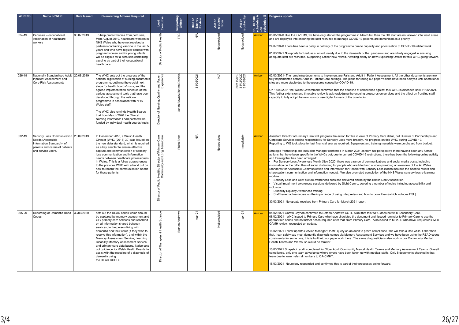| <b>WHC No</b> | Name of WHC                                                                                                                                      | Date Issued | <b>Overarching Actions Required</b>                                                                                                                                                                                                                                                                                                                                                                                                                                                                                                                    | Lead<br>Executive                                                                                                    | Supporting<br>Officer            | Date of<br>Expiry /<br>Review | Action<br>required<br>from | Action<br>required by                  | k - Denina<br>  schedule A<br>  on<br>  schedule / G | Progress update                                                                                                                                                                                                                                                                                                                                                                                                                                                                                                                                                                                                                                                                                                                                                                                                                                                                                                                                                                                                                                                                                                                                                                                                                                                                                                                                                                                                                                                                                                                                                                                                                                                                                                          |
|---------------|--------------------------------------------------------------------------------------------------------------------------------------------------|-------------|--------------------------------------------------------------------------------------------------------------------------------------------------------------------------------------------------------------------------------------------------------------------------------------------------------------------------------------------------------------------------------------------------------------------------------------------------------------------------------------------------------------------------------------------------------|----------------------------------------------------------------------------------------------------------------------|----------------------------------|-------------------------------|----------------------------|----------------------------------------|------------------------------------------------------|--------------------------------------------------------------------------------------------------------------------------------------------------------------------------------------------------------------------------------------------------------------------------------------------------------------------------------------------------------------------------------------------------------------------------------------------------------------------------------------------------------------------------------------------------------------------------------------------------------------------------------------------------------------------------------------------------------------------------------------------------------------------------------------------------------------------------------------------------------------------------------------------------------------------------------------------------------------------------------------------------------------------------------------------------------------------------------------------------------------------------------------------------------------------------------------------------------------------------------------------------------------------------------------------------------------------------------------------------------------------------------------------------------------------------------------------------------------------------------------------------------------------------------------------------------------------------------------------------------------------------------------------------------------------------------------------------------------------------|
| 024-19        | Pertussis - occupational<br>vaccination of healthcare<br>workers                                                                                 | 30.07.2019  | To help protect babies from pertussis,<br>from August 2019, healthcare workers in<br>NHS Wales who have not received a<br>pertussis-containing vaccine in the last 5<br>years and who have regular contact with<br>pregnant women and/or young infants<br>will be eligible for a pertussis containing<br>vaccine as part of their occupational<br>health care.                                                                                                                                                                                         | Health<br>Public <sup>1</sup><br>৳<br>ector<br>汽                                                                     | <b>BC</b>                        | ≸                             | Not provided               | Not provided                           | Amber                                                | 05/05/2020 Due to COVID19, we have only started the programme in March but then the OH staff are not allowed into ward areas<br>and are deployed into ensuring the staff recruited to manage COVID-19 patients are immunised as a priority.<br>24/07/2020 There has been a delay in delivery of the programme due to capacity and prioritisation of COVID-19 related work.<br>01/03/2021 No update for Pertussis, unfortunately due to the demands of the pandemic and are wholly engaged in ensuring<br>adequate staff are recruited. Supporting Officer now retired. Awaiting clarity on new Supporting Officer for this WHC going forward.                                                                                                                                                                                                                                                                                                                                                                                                                                                                                                                                                                                                                                                                                                                                                                                                                                                                                                                                                                                                                                                                            |
| 026-19        | Nationally Standardised Adult 20.08.2019<br>Inpatient Assessment and<br><b>Core Risk Assessments</b>                                             |             | The WHC sets out the progress of the<br>national digitisation of nursing documents<br>programme, outlining the crucial next<br>steps for health boards/trusts, and the<br>agreed implementation schedule of the<br>various assessment tools that have been<br>developed through the national<br>programme in association with NHS<br>Wales staff.<br>The WHC also reminds Health Boards<br>that from March 2020 the Clinical<br>Nursing Informatics Lead posts will be<br>funded by individual health boards/trusts.                                   | and Patient<br>Experience<br>Quality<br>Nursing,<br>৳<br>ador<br>ă                                                   | Bowen/Sharon Daniels<br>Judith I | 31/05/2021                    | $\frac{4}{2}$              | 30/11/2019<br>31/12/2020<br>31/05/2021 | Amber                                                | 02/03/2021- The remaining documents to implement are Falls and Adult In Patient Assessment. All the other documents are now<br>fully implemented across Adult In-Patient Care settings. The plans for rolling out paper visions have been delayed until operational<br>sites are more stable due to the pressures caused by COVID-19.<br>On 16/03/2021 the Welsh Government confirmed that the deadline of compliance against this WHC is extended until 31/05/2021.<br>This further extension and timetable review is acknowledging the ongoing pressures on services and the effect on frontline staff<br>capacity to fully adopt the new tools or use digital formats of the core tools.                                                                                                                                                                                                                                                                                                                                                                                                                                                                                                                                                                                                                                                                                                                                                                                                                                                                                                                                                                                                                              |
| 032-19        | Sensory Loss Communication 20.09.2019<br>Needs (Accessible<br>Information Standard) - of<br>parents and carers of patients<br>and service users. |             | In December 2018, a Welsh Health<br>Circular (WHC (2018) 30) was issued on<br>the new data standard, which is required<br>as a key enabler to ensure effective<br>capture and communication of sensory<br>loss communication and information<br>needs between healthcare professionals<br>in Wales. This is a follow up/awareness<br>to the previous WHC with a hand out on<br>how to record the communication needs<br>for these patients.                                                                                                            | Care,<br>Care.<br>r of Primary<br>Long Term<br>$rac{1}{2}$<br>nie<br>Die<br>Health<br>Commu<br>of Public<br>Director | Bond<br>Rhian                    | ≸                             | Not provided               | mmediately                             | Amber                                                | Assistant Director of Primary Care will progress the action for this in view of Primary Care detail, but Director of Partnerships and<br>Corporate Services retains responsibility for Sensory Loss more broadly. No progress on this WHC during COVID-19.<br>Reporting to WG took place for last financial year as required. Equipment and training materials were purchased from budget.<br>Strategic Partnership and Inclusion Manager confirmed in March 2021 as from her perspective there haven't been any further<br>actions that have been specific to the WHCs but, due to current COVID-19 restrictions, there has been the following online activity<br>and training that has been arranged:<br>For Sensory Loss Awareness Month (Nov 2020) there was a range of communications and social media posts, including<br>information on the difficulties of social distancing for people who are blind and a video providing an overview of the All Wales<br>Standards for Accessible Communication and Information for People with Sensory Loss (which includes the need to record and<br>share patient communication and information needs). We also promoted completion of the NHS Wales sensory loss e-learning<br>module.<br>Sensory Loss and Deaf culture awareness sessions delivered online by the British Deaf Association.<br>Visual Impairment awareness sessions delivered by Sight Cymru, covering a number of topics including accessibility and<br>inclusion.<br>Disability Equality Awareness training.<br>Staff have had reminders on the importance of using interpreters and how to book them (which includes BSL).<br>30/03/2021- No update received from Primary Care for March 2021 report. |
| 005-20        | Recording of Dementia Read 30/09/2020<br>Codes                                                                                                   |             | sets out the READ codes which should<br>be captured by memory assessment and<br>GP/ primary care services and recorded<br>on all information shared between<br>services, to the person living with<br>dementia and their carer (if they wish to<br>receive this information), and within the<br>Memory Assessment Service, Learning<br>Disability Memory Assessment Service<br>and primary care data bases. It also sets<br>out guidance for Welsh Health Boards to<br>assist with the recoding of a diagnosis of<br>dementia using<br>the READ CODES. | Scien<br>& Health<br>apies<br>৳<br><b>Director</b>                                                                   | Andrews<br>Bethan                | ý.                            | provided<br>$\frac{5}{2}$  | apr-21                                 | Amber                                                | 05/02/2021 Gareth Beynon confirmed to Bethan Andrews COTE SDM that this WHC does not fit in Secondary Care.<br>08/02/2021 - WHC issued to Primary Care who have circulated the document and issued reminder to Primary Care to use the<br>appropriate codes and no further action required after that from Primary Care. Also issued to MH&LD who have requested SM in<br>OAMH review, requested an update.<br>16/02/2021 Follow up with Service Manager OAMH query on an audit to prove compliance, this will take a little while. Other than<br>that, I can safely say most dementia diagnosis comes via Memory Assessment Services and we have been using the READ codes<br>consistently for some time, this is built into our paperwork there. The same diagnosticians also work in our Community Mental<br>Health Teams and Wards, so would be familiar.<br>15/03/2021 Snapshot audit completed for Older Adult Community Mental Health Teams and Memory Assessment Teams. Overall<br>compliance, only one team at variance where errors have been taken up with medical staffs. Only 8 documents checked in that<br>team due to lower referral numbers to OA-CMHT.<br>18/03/2021- Neurology responded and confirmed this is part of their processes going forward.                                                                                                                                                                                                                                                                                                                                                                                                                                                 |